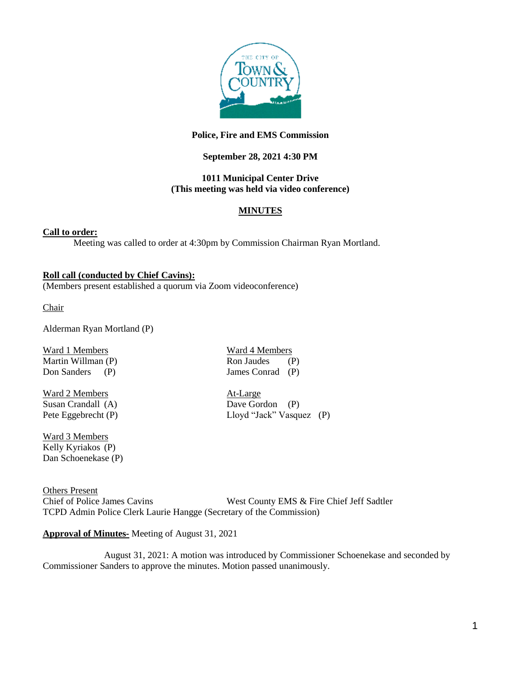

# **Police, Fire and EMS Commission**

# **September 28, 2021 4:30 PM**

### **1011 Municipal Center Drive (This meeting was held via video conference)**

# **MINUTES**

### **Call to order:**

Meeting was called to order at 4:30pm by Commission Chairman Ryan Mortland.

#### **Roll call (conducted by Chief Cavins):**

(Members present established a quorum via Zoom videoconference)

Chair

Alderman Ryan Mortland (P)

Ward 1 Members Ward 4 Members Martin Willman (P) Ron Jaudes (P) Don Sanders (P) James Conrad (P)

Ward 2 Members<br>
Susan Crandall (A) Susan Crandall (A) Dave Gordon (P) Susan Crandall (A)

Ward 3 Members Kelly Kyriakos (P) Dan Schoenekase (P)

Others Present Chief of Police James Cavins West County EMS & Fire Chief Jeff Sadtler TCPD Admin Police Clerk Laurie Hangge (Secretary of the Commission)

### **Approval of Minutes-** Meeting of August 31, 2021

August 31, 2021: A motion was introduced by Commissioner Schoenekase and seconded by Commissioner Sanders to approve the minutes. Motion passed unanimously.

Pete Eggebrecht (P) Lloyd "Jack" Vasquez (P)